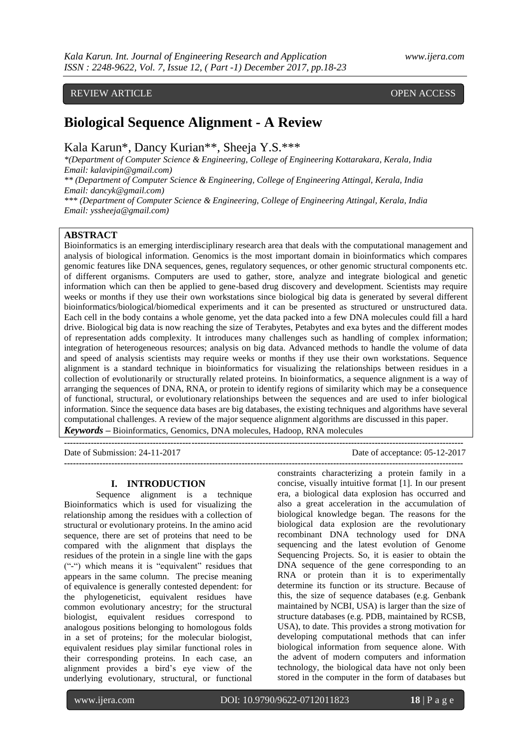## REVIEW ARTICLE OPEN ACCESS

# **Biological Sequence Alignment - A Review**

Kala Karun\*, Dancy Kurian\*\*, Sheeja Y.S.\*\*\*

*\*(Department of Computer Science & Engineering, College of Engineering Kottarakara, Kerala, India Email: kalavipin@gmail.com)*

*\*\* (Department of Computer Science & Engineering, College of Engineering Attingal, Kerala, India Email: dancyk@gmail.com)*

*\*\*\* (Department of Computer Science & Engineering, College of Engineering Attingal, Kerala, India Email: yssheeja@gmail.com)*

## **ABSTRACT**

Bioinformatics is an emerging interdisciplinary research area that deals with the computational management and analysis of biological information. Genomics is the most important domain in bioinformatics which compares genomic features like DNA sequences, genes, regulatory sequences, or other genomic structural components etc. of different organisms. Computers are used to gather, store, analyze and integrate biological and genetic information which can then be applied to gene-based drug discovery and development. Scientists may require weeks or months if they use their own workstations since biological big data is generated by several different bioinformatics/biological/biomedical experiments and it can be presented as structured or unstructured data. Each cell in the body contains a whole genome, yet the data packed into a few DNA molecules could fill a hard drive. Biological big data is now reaching the size of Terabytes, Petabytes and exa bytes and the different modes of representation adds complexity. It introduces many challenges such as handling of complex information; integration of heterogeneous resources; analysis on big data. Advanced methods to handle the volume of data and speed of analysis scientists may require weeks or months if they use their own workstations. Sequence alignment is a standard technique in bioinformatics for visualizing the relationships between residues in a collection of evolutionarily or structurally related proteins. In bioinformatics, a sequence alignment is a way of arranging the sequences of DNA, RNA, or protein to identify regions of similarity which may be a consequence of functional, structural, or evolutionary relationships between the sequences and are used to infer biological information. Since the sequence data bases are big databases, the existing techniques and algorithms have several computational challenges. A review of the major sequence alignment algorithms are discussed in this paper. *Keywords* **–** Bioinformatics, Genomics, DNA molecules, Hadoop, RNA molecules

**---------------------------------------------------------------------------------------------------------------------------------------** Date of acceptance: 05-12-2017 **---------------------------------------------------------------------------------------------------------------------------------------**

#### **I. INTRODUCTION**

Sequence alignment is a technique Bioinformatics which is used for visualizing the relationship among the residues with a collection of structural or evolutionary proteins. In the amino acid sequence, there are set of proteins that need to be compared with the alignment that displays the residues of the protein in a single line with the gaps  $($ "-") which means it is "equivalent" residues that appears in the same column. The precise meaning of equivalence is generally contested dependent: for the phylogeneticist, equivalent residues have common evolutionary ancestry; for the structural biologist, equivalent residues correspond to analogous positions belonging to homologous folds in a set of proteins; for the molecular biologist, equivalent residues play similar functional roles in their corresponding proteins. In each case, an alignment provides a bird's eye view of the underlying evolutionary, structural, or functional constraints characterizing a protein family in a concise, visually intuitive format [1]. In our present era, a biological data explosion has occurred and also a great acceleration in the accumulation of biological knowledge began. The reasons for the biological data explosion are the revolutionary recombinant DNA technology used for DNA sequencing and the latest evolution of Genome Sequencing Projects. So, it is easier to obtain the DNA sequence of the gene corresponding to an RNA or protein than it is to experimentally determine its function or its structure. Because of this, the size of sequence databases (e.g. Genbank maintained by NCBI, USA) is larger than the size of structure databases (e.g. PDB, maintained by RCSB, USA), to date. This provides a strong motivation for developing computational methods that can infer biological information from sequence alone. With the advent of modern computers and information technology, the biological data have not only been stored in the computer in the form of databases but

www.ijera.com DOI: 10.9790/9622-0712011823 **18** | P a g e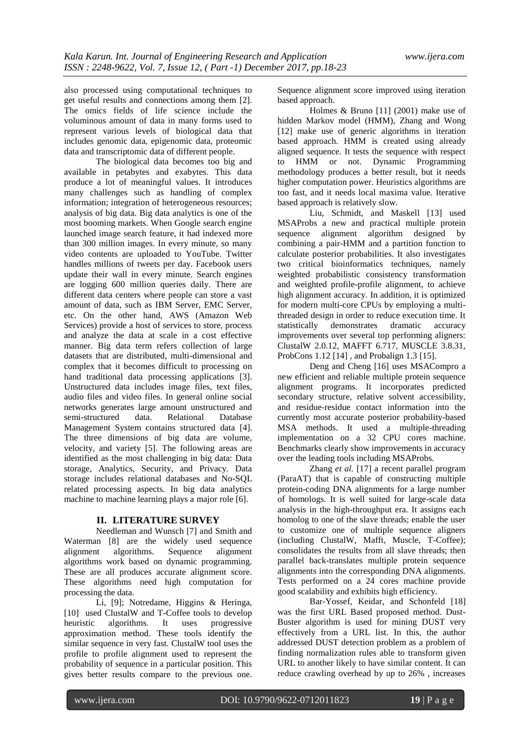also processed using computational techniques to get useful results and connections among them [2]. The omics fields of life science include the voluminous amount of data in many forms used to represent various levels of biological data that includes genomic data, epigenomic data, proteomic data and transcriptomic data of different people.

The biological data becomes too big and available in petabytes and exabytes. This data produce a lot of meaningful values. It introduces many challenges such as handling of complex information; integration of heterogeneous resources; analysis of big data. Big data analytics is one of the most booming markets. When Google search engine launched image search feature, it had indexed more than 300 million images. In every minute, so many video contents are uploaded to YouTube. Twitter handles millions of tweets per day. Facebook users update their wall in every minute. Search engines are logging 600 million queries daily. There are different data centers where people can store a vast amount of data, such as IBM Server, EMC Server, etc. On the other hand, AWS (Amazon Web Services) provide a host of services to store, process and analyze the data at scale in a cost effective manner. Big data term refers collection of large datasets that are distributed, multi-dimensional and complex that it becomes difficult to processing on hand traditional data processing applications [3]. Unstructured data includes image files, text files, audio files and video files. In general online social networks generates large amount unstructured and<br>semi-structured data. Relational Database semi-structured data. Relational Database Management System contains structured data [4]. The three dimensions of big data are volume, velocity, and variety [5]. The following areas are identified as the most challenging in big data: Data storage, Analytics, Security, and Privacy. Data storage includes relational databases and No-SQL related processing aspects. In big data analytics machine to machine learning plays a major role [6].

### **II. LITERATURE SURVEY**

Needleman and Wunsch [7] and Smith and Waterman [8] are the widely used sequence alignment algorithms. Sequence alignment algorithms work based on dynamic programming. These are all produces accurate alignment score. These algorithms need high computation for processing the data.

Li, [9]; Notredame, Higgins & Heringa, [10] used ClustalW and T-Coffee tools to develop heuristic algorithms. It uses progressive approximation method. These tools identify the similar sequence in very fast. ClustalW tool uses the profile to profile alignment used to represent the probability of sequence in a particular position. This gives better results compare to the previous one.

Sequence alignment score improved using iteration based approach.

Holmes & Bruno [11] (2001) make use of hidden Markov model (HMM), Zhang and Wong [12] make use of generic algorithms in iteration based approach. HMM is created using already aligned sequence. It tests the sequence with respect to HMM or not. Dynamic Programming methodology produces a better result, but it needs higher computation power. Heuristics algorithms are too fast, and it needs local maxima value. Iterative based approach is relatively slow.

Liu, Schmidt, and Maskell [13] used MSAProbs a new and practical multiple protein sequence alignment algorithm designed by combining a pair-HMM and a partition function to calculate posterior probabilities. It also investigates two critical bioinformatics techniques, namely weighted probabilistic consistency transformation and weighted profile-profile alignment, to achieve high alignment accuracy. In addition, it is optimized for modern multi-core CPUs by employing a multithreaded design in order to reduce execution time. It<br>statistically demonstrates dramatic accuracy demonstrates dramatic accuracy improvements over several top performing aligners: ClustalW 2.0.12, MAFFT 6.717, MUSCLE 3.8.31, ProbCons 1.12 [14] , and Probalign 1.3 [15].

Deng and Cheng [16] uses MSACompro a new efficient and reliable multiple protein sequence alignment programs. It incorporates predicted secondary structure, relative solvent accessibility, and residue-residue contact information into the currently most accurate posterior probability-based MSA methods. It used a multiple-threading implementation on a 32 CPU cores machine. Benchmarks clearly show improvements in accuracy over the leading tools including MSAProbs.

Zhang *et al.* [17] a recent parallel program (ParaAT) that is capable of constructing multiple protein-coding DNA alignments for a large number of homologs. It is well suited for large-scale data analysis in the high-throughput era. It assigns each homolog to one of the slave threads; enable the user to customize one of multiple sequence aligners (including ClustalW, Mafft, Muscle, T-Coffee); consolidates the results from all slave threads; then parallel back-translates multiple protein sequence alignments into the corresponding DNA alignments. Tests performed on a 24 cores machine provide good scalability and exhibits high efficiency.

Bar-Yossef, Keidar, and Schonfeld [18] was the first URL Based proposed method. Dust-Buster algorithm is used for mining DUST very effectively from a URL list. In this, the author addressed DUST detection problem as a problem of finding normalization rules able to transform given URL to another likely to have similar content. It can reduce crawling overhead by up to 26% , increases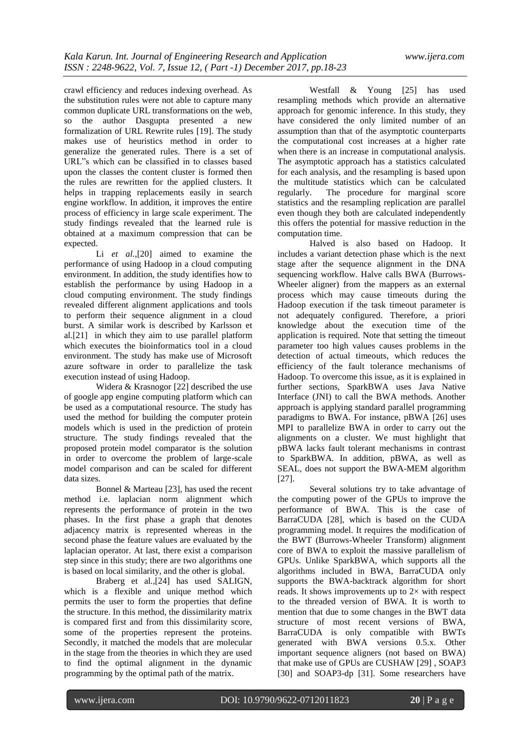crawl efficiency and reduces indexing overhead. As the substitution rules were not able to capture many common duplicate URL transformations on the web, so the author Dasgupta presented a new formalization of URL Rewrite rules [19]. The study makes use of heuristics method in order to generalize the generated rules. There is a set of URL"s which can be classified in to classes based upon the classes the content cluster is formed then the rules are rewritten for the applied clusters. It helps in trapping replacements easily in search engine workflow. In addition, it improves the entire process of efficiency in large scale experiment. The study findings revealed that the learned rule is obtained at a maximum compression that can be expected.

Li *et al.*,[20] aimed to examine the performance of using Hadoop in a cloud computing environment. In addition, the study identifies how to establish the performance by using Hadoop in a cloud computing environment. The study findings revealed different alignment applications and tools to perform their sequence alignment in a cloud burst. A similar work is described by Karlsson et al.[21] in which they aim to use parallel platform which executes the bioinformatics tool in a cloud environment. The study has make use of Microsoft azure software in order to parallelize the task execution instead of using Hadoop.

Widera & Krasnogor [22] described the use of google app engine computing platform which can be used as a computational resource. The study has used the method for building the computer protein models which is used in the prediction of protein structure. The study findings revealed that the proposed protein model comparator is the solution in order to overcome the problem of large-scale model comparison and can be scaled for different data sizes.

Bonnel & Marteau [23], has used the recent method i.e. laplacian norm alignment which represents the performance of protein in the two phases. In the first phase a graph that denotes adjacency matrix is represented whereas in the second phase the feature values are evaluated by the laplacian operator. At last, there exist a comparison step since in this study; there are two algorithms one is based on local similarity, and the other is global.

Braberg et al*.*,[24] has used SALIGN, which is a flexible and unique method which permits the user to form the properties that define the structure. In this method, the dissimilarity matrix is compared first and from this dissimilarity score, some of the properties represent the proteins. Secondly, it matched the models that are molecular in the stage from the theories in which they are used to find the optimal alignment in the dynamic programming by the optimal path of the matrix.

Westfall & Young [25] has used resampling methods which provide an alternative approach for genomic inference. In this study, they have considered the only limited number of an assumption than that of the asymptotic counterparts the computational cost increases at a higher rate when there is an increase in computational analysis. The asymptotic approach has a statistics calculated for each analysis, and the resampling is based upon the multitude statistics which can be calculated regularly. The procedure for marginal score statistics and the resampling replication are parallel even though they both are calculated independently this offers the potential for massive reduction in the computation time.

Halved is also based on Hadoop. It includes a variant detection phase which is the next stage after the sequence alignment in the DNA sequencing workflow. Halve calls BWA (Burrows-Wheeler aligner) from the mappers as an external process which may cause timeouts during the Hadoop execution if the task timeout parameter is not adequately configured. Therefore, a priori knowledge about the execution time of the application is required. Note that setting the timeout parameter too high values causes problems in the detection of actual timeouts, which reduces the efficiency of the fault tolerance mechanisms of Hadoop. To overcome this issue, as it is explained in further sections, SparkBWA uses Java Native Interface (JNI) to call the BWA methods. Another approach is applying standard parallel programming paradigms to BWA. For instance, pBWA [26] uses MPI to parallelize BWA in order to carry out the alignments on a cluster. We must highlight that pBWA lacks fault tolerant mechanisms in contrast to SparkBWA. In addition, pBWA, as well as SEAL, does not support the BWA-MEM algorithm [27].

Several solutions try to take advantage of the computing power of the GPUs to improve the performance of BWA. This is the case of BarraCUDA [28], which is based on the CUDA programming model. It requires the modification of the BWT (Burrows-Wheeler Transform) alignment core of BWA to exploit the massive parallelism of GPUs. Unlike SparkBWA, which supports all the algorithms included in BWA, BarraCUDA only supports the BWA-backtrack algorithm for short reads. It shows improvements up to  $2\times$  with respect to the threaded version of BWA. It is worth to mention that due to some changes in the BWT data structure of most recent versions of BWA, BarraCUDA is only compatible with BWTs generated with BWA versions 0.5.x. Other important sequence aligners (not based on BWA) that make use of GPUs are CUSHAW [29] , SOAP3 [30] and SOAP3-dp [31]. Some researchers have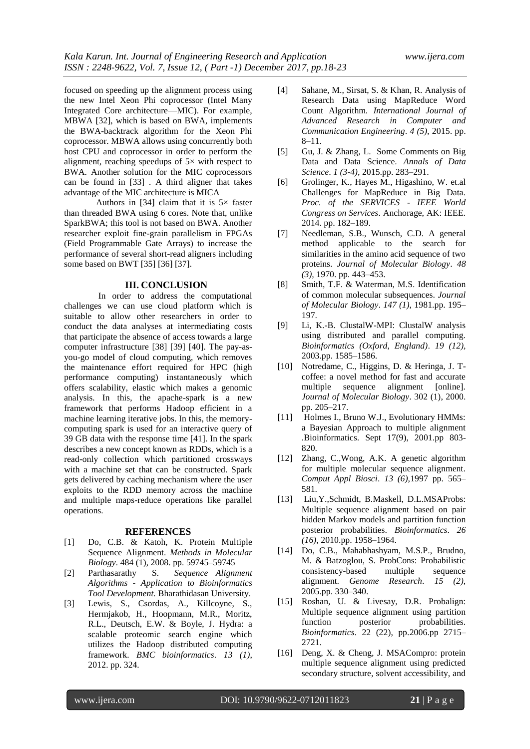focused on speeding up the alignment process using the new Intel Xeon Phi coprocessor (Intel Many Integrated Core architecture—MIC). For example, MBWA [32], which is based on BWA, implements the BWA-backtrack algorithm for the Xeon Phi coprocessor. MBWA allows using concurrently both host CPU and coprocessor in order to perform the alignment, reaching speedups of  $5\times$  with respect to BWA. Another solution for the MIC coprocessors can be found in [33] . A third aligner that takes advantage of the MIC architecture is MICA

Authors in [34] claim that it is  $5\times$  faster than threaded BWA using 6 cores. Note that, unlike SparkBWA; this tool is not based on BWA. Another researcher exploit fine-grain parallelism in FPGAs (Field Programmable Gate Arrays) to increase the performance of several short-read aligners including some based on BWT [35] [36] [37].

#### **III. CONCLUSION**

In order to address the computational challenges we can use cloud platform which is suitable to allow other researchers in order to conduct the data analyses at intermediating costs that participate the absence of access towards a large computer infrastructure [38] [39] [40]. The pay-asyou-go model of cloud computing, which removes the maintenance effort required for HPC (high performance computing) instantaneously which offers scalability, elastic which makes a genomic analysis. In this, the apache-spark is a new framework that performs Hadoop efficient in a machine learning iterative jobs. In this, the memorycomputing spark is used for an interactive query of 39 GB data with the response time [41]. In the spark describes a new concept known as RDDs, which is a read-only collection which partitioned crossways with a machine set that can be constructed. Spark gets delivered by caching mechanism where the user exploits to the RDD memory across the machine and multiple maps-reduce operations like parallel operations.

#### **REFERENCES**

- [1] Do, C.B. & Katoh, K. Protein Multiple Sequence Alignment. *Methods in Molecular Biology*. 484 (1), 2008. pp. 59745–59745
- [2] Parthasarathy S. *Sequence Alignment Algorithms - Application to Bioinformatics Tool Development.* Bharathidasan University.
- [3] Lewis, S., Csordas, A., Killcoyne, S., Hermjakob, H., Hoopmann, M.R., Moritz, R.L., Deutsch, E.W. & Boyle, J. Hydra: a scalable proteomic search engine which utilizes the Hadoop distributed computing framework. *BMC bioinformatics*. *13 (1)*, 2012. pp. 324.
- [4] Sahane, M., Sirsat, S. & Khan, R. Analysis of Research Data using MapReduce Word Count Algorithm. *International Journal of Advanced Research in Computer and Communication Engineering*. *4 (5),* 2015. pp. 8–11.
- [5] Gu, J. & Zhang, L. Some Comments on Big Data and Data Science. *Annals of Data Science*. *1 (3-4),* 2015.pp. 283–291.
- [6] Grolinger, K., Hayes M., Higashino, W. et.al Challenges for MapReduce in Big Data. *Proc. of the SERVICES - IEEE World Congress on Services*. Anchorage, AK: IEEE. 2014. pp. 182–189.
- [7] Needleman, S.B., Wunsch, C.D. A general method applicable to the search for similarities in the amino acid sequence of two proteins. *Journal of Molecular Biology*. *48 (3),* 1970. pp. 443–453.
- [8] Smith, T.F. & Waterman, M.S. Identification of common molecular subsequences. *Journal of Molecular Biology*. *147 (1),* 1981.pp. 195– 197.
- [9] Li, K.-B. ClustalW-MPI: ClustalW analysis using distributed and parallel computing. *Bioinformatics (Oxford, England)*. *19 (12),* 2003.pp. 1585–1586.
- [10] Notredame, C., Higgins, D. & Heringa, J. Tcoffee: a novel method for fast and accurate multiple sequence alignment [online]. *Journal of Molecular Biology*. 302 (1), 2000. pp. 205–217.
- [11] Holmes I., Bruno W.J., Evolutionary HMMs: a Bayesian Approach to multiple alignment .Bioinformatics. Sept 17(9), 2001.pp 803- 820.
- [12] Zhang, C.,Wong, A.K. A genetic algorithm for multiple molecular sequence alignment. *Comput Appl Biosci*. *13 (6),*1997 pp. 565– 581.
- [13] Liu,Y.,Schmidt, B.Maskell, D.L.MSAProbs: Multiple sequence alignment based on pair hidden Markov models and partition function posterior probabilities. *Bioinformatics*. *26 (16)*, 2010.pp. 1958–1964.
- [14] Do, C.B., Mahabhashyam, M.S.P., Brudno, M. & Batzoglou, S. ProbCons: Probabilistic consistency-based multiple sequence alignment. *Genome Research*. *15 (2),* 2005.pp. 330–340.
- [15] Roshan, U. & Livesay, D.R. Probalign: Multiple sequence alignment using partition function posterior probabilities. *Bioinformatics*. 22 (22), pp.2006.pp 2715– 2721.
- [16] Deng, X. & Cheng, J. MSACompro: protein multiple sequence alignment using predicted secondary structure, solvent accessibility, and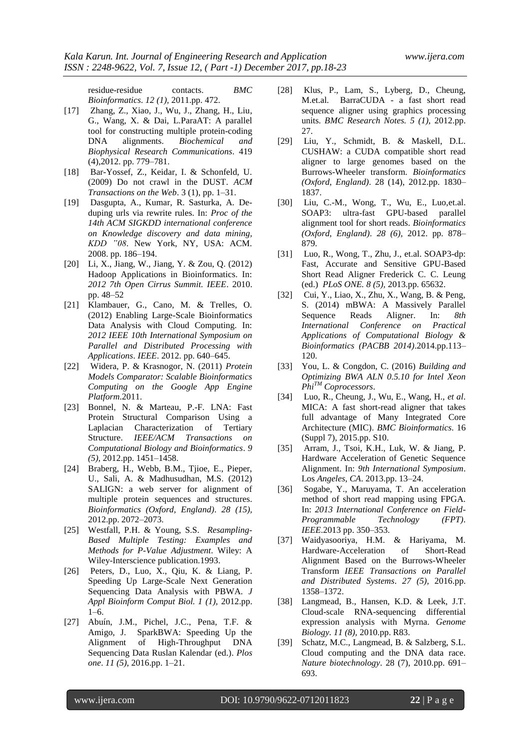residue-residue contacts. *BMC Bioinformatics*. *12 (1),* 2011.pp. 472.

- [17] Zhang, Z., Xiao, J., Wu, J., Zhang, H., Liu, G., Wang, X. & Dai, L.ParaAT: A parallel tool for constructing multiple protein-coding DNA alignments. *Biochemical and Biophysical Research Communications*. 419 (4),2012. pp. 779–781.
- [18] Bar-Yossef, Z., Keidar, I. & Schonfeld, U. (2009) Do not crawl in the DUST. *ACM Transactions on the Web*. 3 (1), pp. 1–31.
- [19] Dasgupta, A., Kumar, R. Sasturka, A. Deduping urls via rewrite rules. In: *Proc of the 14th ACM SIGKDD international conference on Knowledge discovery and data mining, KDD "08*. New York, NY, USA: ACM. 2008. pp. 186–194.
- [20] Li, X., Jiang, W., Jiang, Y. & Zou, Q. (2012) Hadoop Applications in Bioinformatics. In: *2012 7th Open Cirrus Summit. IEEE*. 2010. pp. 48–52
- [21] Klambauer, G., Cano, M. & Trelles, O. (2012) Enabling Large-Scale Bioinformatics Data Analysis with Cloud Computing. In: *2012 IEEE 10th International Symposium on Parallel and Distributed Processing with Applications*. *IEEE*. 2012. pp. 640–645.
- [22] Widera, P. & Krasnogor, N. (2011) *Protein Models Comparator: Scalable Bioinformatics Computing on the Google App Engine Platform*.2011.
- [23] Bonnel, N. & Marteau, P.-F. LNA: Fast Protein Structural Comparison Using a Laplacian Characterization of Tertiary Structure. *IEEE/ACM Transactions on Computational Biology and Bioinformatics*. *9 (5),* 2012.pp. 1451–1458.
- [24] Braberg, H., Webb, B.M., Tjioe, E., Pieper, U., Sali, A. & Madhusudhan, M.S. (2012) SALIGN: a web server for alignment of multiple protein sequences and structures. *Bioinformatics (Oxford, England)*. *28 (15),* 2012.pp. 2072–2073.
- [25] Westfall, P.H. & Young, S.S. *Resampling-Based Multiple Testing: Examples and Methods for P-Value Adjustment*. Wiley: A Wiley-Interscience publication.1993.
- [26] Peters, D., Luo, X., Qiu, K. & Liang, P. Speeding Up Large-Scale Next Generation Sequencing Data Analysis with PBWA. *J Appl Bioinform Comput Biol. 1 (1),* 2012.pp.  $1-6.$
- [27] Abuín, J.M., Pichel, J.C., Pena, T.F. & Amigo, J. SparkBWA: Speeding Up the Alignment of High-Throughput DNA Sequencing Data Ruslan Kalendar (ed.). *Plos one*. *11 (5),* 2016.pp. 1–21.
- [28] Klus, P., Lam, S., Lyberg, D., Cheung, M.et.al. BarraCUDA - a fast short read sequence aligner using graphics processing units. *BMC Research Notes. 5 (1),* 2012.pp. 27.
- [29] Liu, Y., Schmidt, B. & Maskell, D.L. CUSHAW: a CUDA compatible short read aligner to large genomes based on the Burrows-Wheeler transform. *Bioinformatics (Oxford, England)*. 28 (14), 2012.pp. 1830– 1837.
- [30] Liu, C.-M., Wong, T., Wu, E., Luo,et.al. SOAP3: ultra-fast GPU-based parallel alignment tool for short reads. *Bioinformatics (Oxford, England)*. *28 (6),* 2012. pp. 878– 879.
- [31] Luo, R., Wong, T., Zhu, J., et.al. SOAP3-dp: Fast, Accurate and Sensitive GPU-Based Short Read Aligner Frederick C. C. Leung (ed.) *PLoS ONE. 8 (5),* 2013.pp. 65632.
- [32] Cui, Y., Liao, X., Zhu, X., Wang, B. & Peng, S. (2014) mBWA: A Massively Parallel Sequence Reads Aligner. In: *8th International Conference on Applications of Computational Biology & Bioinformatics (PACBB 2014)*.2014.pp.113– 120.
- [33] You, L. & Congdon, C. (2016) *Building and Optimizing BWA ALN 0.5.10 for Intel Xeon PhiTM Coprocessors*.
- [34] Luo, R., Cheung, J., Wu, E., Wang, H., *et al*. MICA: A fast short-read aligner that takes full advantage of Many Integrated Core Architecture (MIC). *BMC Bioinformatics*. 16 (Suppl 7), 2015.pp. S10.
- [35] Arram, J., Tsoi, K.H., Luk, W. & Jiang, P. Hardware Acceleration of Genetic Sequence Alignment. In: *9th International Symposium*. Los *Angeles, CA*. 2013.pp. 13–24.
- [36] Sogabe, Y., Maruyama, T. An acceleration method of short read mapping using FPGA. In: *2013 International Conference on Field-Programmable Technology (FPT)*. *IEEE*.2013 pp. 350–353.
- [37] Waidyasooriya, H.M. & Hariyama, M. Hardware-Acceleration of Short-Read Alignment Based on the Burrows-Wheeler Transform *IEEE Transactions on Parallel and Distributed Systems*. *27 (5),* 2016.pp. 1358–1372.
- [38] Langmead, B., Hansen, K.D. & Leek, J.T. Cloud-scale RNA-sequencing differential expression analysis with Myrna. *Genome Biology. 11 (8),* 2010.pp. R83.
- [39] Schatz, M.C., Langmead, B. & Salzberg, S.L. Cloud computing and the DNA data race. *Nature biotechnology*. 28 (7), 2010.pp. 691– 693.